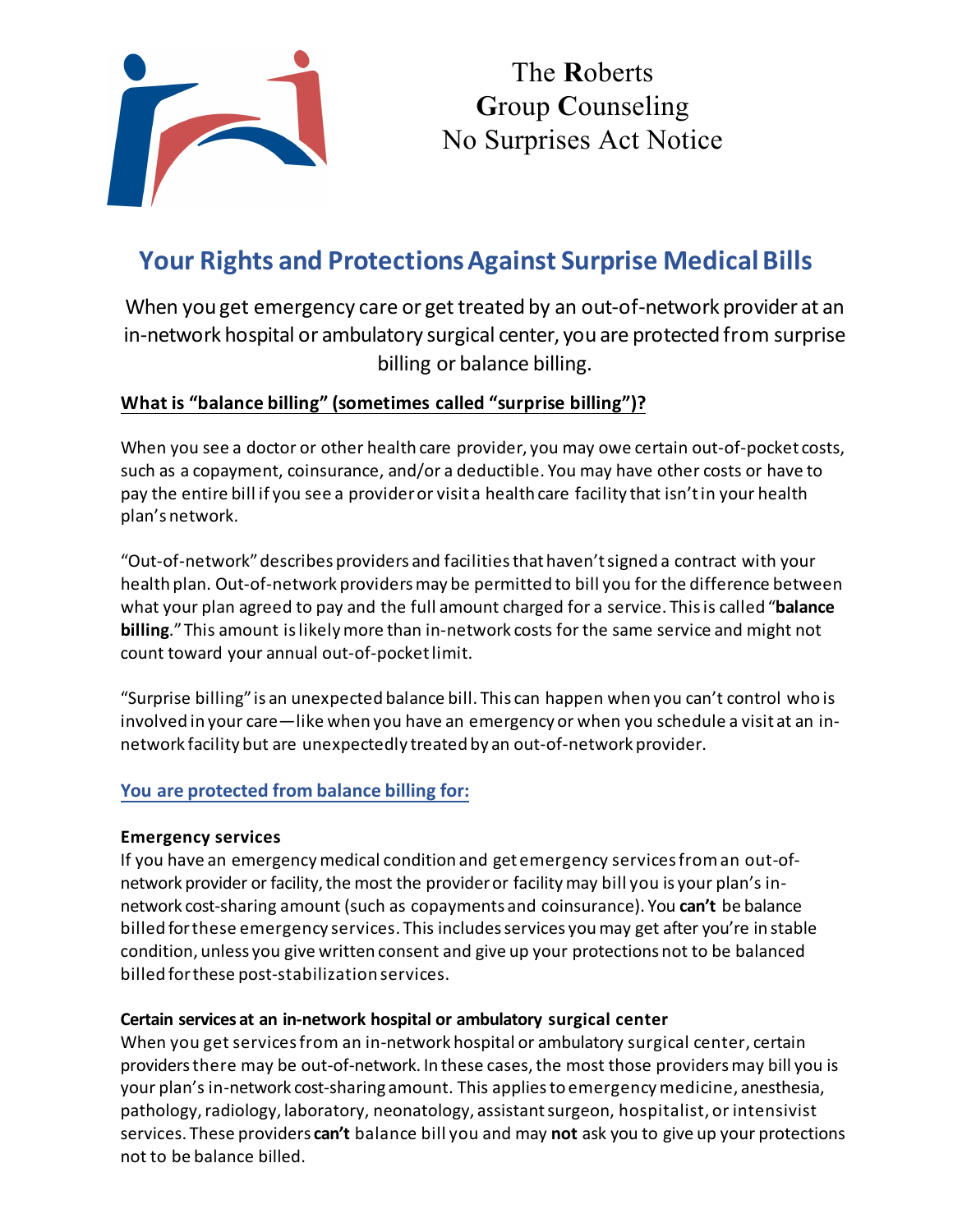

The **R**oberts **G**roup **C**ounseling No Surprises Act Notice

# **Your Rights and ProtectionsAgainst Surprise Medical Bills**

When you get emergency care or get treated by an out-of-network provider at an in-network hospital or ambulatory surgical center, you are protected from surprise billing or balance billing.

#### **What is "balance billing" (sometimes called "surprise billing")?**

When you see a doctor or other health care provider, you may owe certain out-of-pocket costs, such as a copayment, coinsurance, and/or a deductible. You may have other costs or have to pay the entire bill if you see a provider or visit a health care facility that isn't in your health plan's network.

"Out-of-network" describes providers and facilities that haven't signed a contract with your health plan. Out-of-network providers may be permitted to bill you for the difference between what your plan agreed to pay and the full amount charged for a service. This is called "**balance billing**."This amount is likely more than in-network costs for the same service and might not count toward your annual out-of-pocketlimit.

"Surprise billing" is an unexpected balance bill. This can happen when you can't control who is involved in your care—like when you have an emergency or when you schedule a visit at an innetwork facility but are unexpectedly treated by an out-of-network provider.

#### **You are protected from balance billing for:**

#### **Emergency services**

If you have an emergency medical condition and get emergency services from an out-ofnetwork provider or facility, the most the provider or facility may bill you is your plan's innetwork cost-sharing amount (such as copayments and coinsurance). You **can't** be balance billed forthese emergency services. This includes services you may get after you're in stable condition, unless you give written consent and give up your protections not to be balanced billed for these post-stabilization services.

#### **Certain services at an in-network hospital or ambulatory surgical center**

When you get servicesfrom an in-network hospital or ambulatory surgical center, certain providersthere may be out-of-network. In these cases,the most those providersmay bill you is your plan's in-network cost-sharing amount. This applies to emergency medicine, anesthesia, pathology, radiology, laboratory, neonatology, assistant surgeon, hospitalist, or intensivist services. These providers **can't** balance bill you and may **not** ask you to give up your protections not to be balance billed.